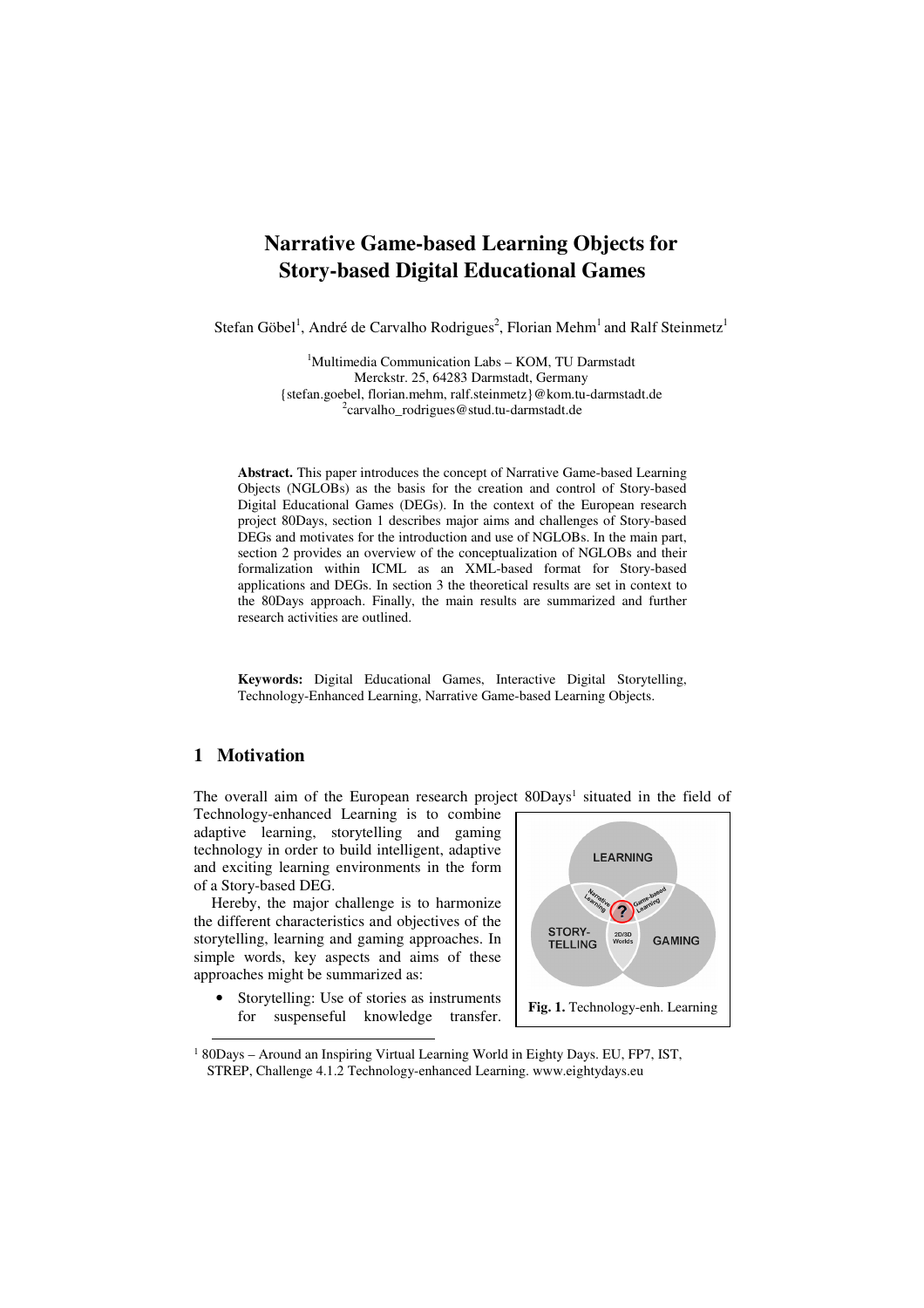# **Narrative Game-based Learning Objects for Story-based Digital Educational Games**

Stefan Göbel<sup>1</sup>, André de Carvalho Rodrigues<sup>2</sup>, Florian Mehm<sup>1</sup> and Ralf Steinmetz<sup>1</sup>

<sup>1</sup>Multimedia Communication Labs – KOM, TU Darmstadt Merckstr. 25, 64283 Darmstadt, Germany {stefan.goebel, florian.mehm, ralf.steinmetz}@kom.tu-darmstadt.de <sup>2</sup>carvalho\_rodrigues@stud.tu-darmstadt.de

**Abstract.** This paper introduces the concept of Narrative Game-based Learning Objects (NGLOBs) as the basis for the creation and control of Story-based Digital Educational Games (DEGs). In the context of the European research project 80Days, section 1 describes major aims and challenges of Story-based DEGs and motivates for the introduction and use of NGLOBs. In the main part, section 2 provides an overview of the conceptualization of NGLOBs and their formalization within ICML as an XML-based format for Story-based applications and DEGs. In section 3 the theoretical results are set in context to the 80Days approach. Finally, the main results are summarized and further research activities are outlined.

**Keywords:** Digital Educational Games, Interactive Digital Storytelling, Technology-Enhanced Learning, Narrative Game-based Learning Objects.

# **1 Motivation**

 $\overline{a}$ 

The overall aim of the European research project 80Days<sup>1</sup> situated in the field of

Technology-enhanced Learning is to combine adaptive learning, storytelling and gaming technology in order to build intelligent, adaptive and exciting learning environments in the form of a Story-based DEG.

Hereby, the major challenge is to harmonize the different characteristics and objectives of the storytelling, learning and gaming approaches. In simple words, key aspects and aims of these approaches might be summarized as:

• Storytelling: Use of stories as instruments for suspenseful knowledge transfer.



<sup>&</sup>lt;sup>1</sup> 80Days - Around an Inspiring Virtual Learning World in Eighty Days. EU, FP7, IST, STREP, Challenge 4.1.2 Technology-enhanced Learning. www.eightydays.eu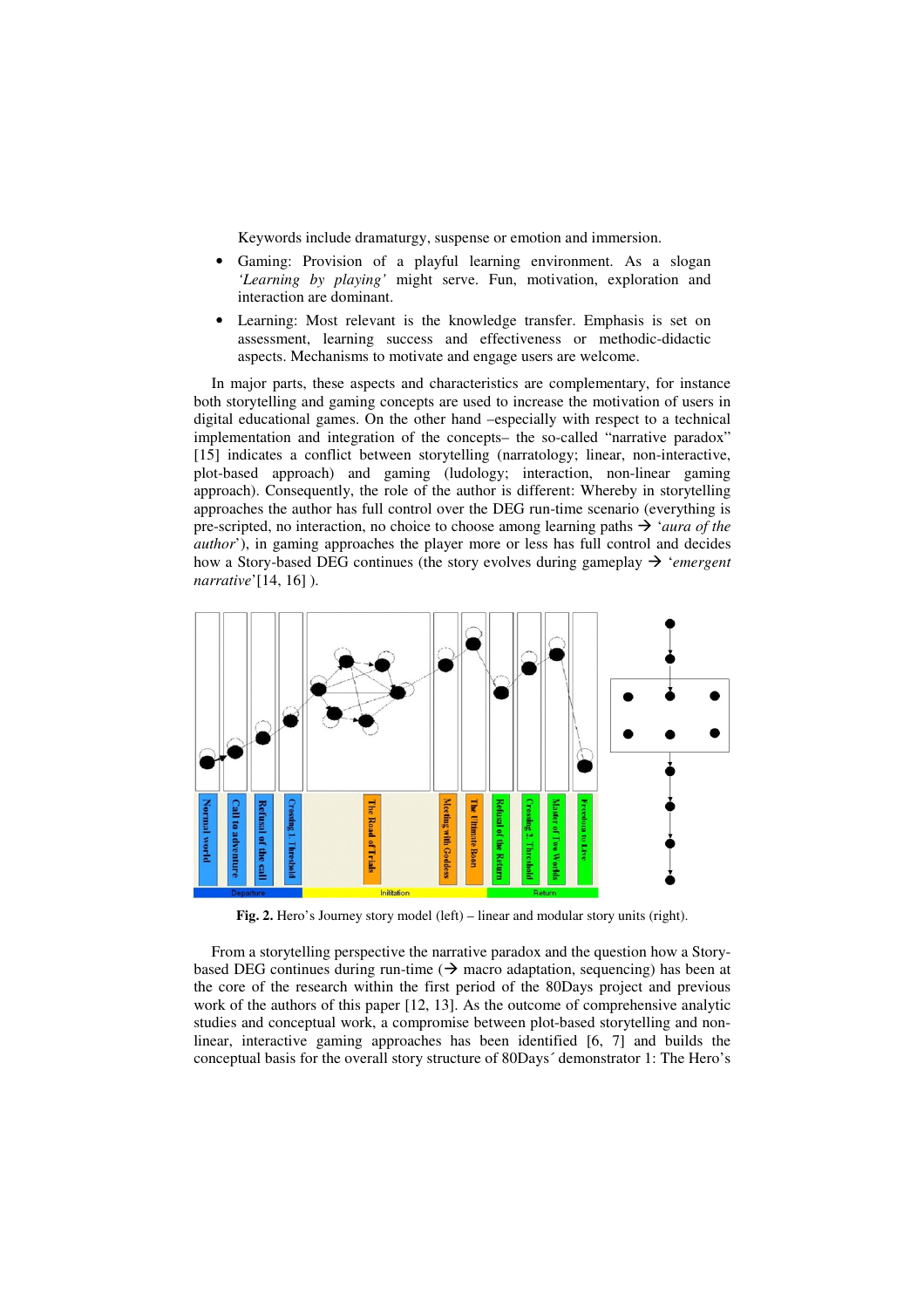Keywords include dramaturgy, suspense or emotion and immersion.

- Gaming: Provision of a playful learning environment. As a slogan *'Learning by playing'* might serve. Fun, motivation, exploration and interaction are dominant.
- Learning: Most relevant is the knowledge transfer. Emphasis is set on assessment, learning success and effectiveness or methodic-didactic aspects. Mechanisms to motivate and engage users are welcome.

In major parts, these aspects and characteristics are complementary, for instance both storytelling and gaming concepts are used to increase the motivation of users in digital educational games. On the other hand –especially with respect to a technical implementation and integration of the concepts– the so-called "narrative paradox" [15] indicates a conflict between storytelling (narratology; linear, non-interactive, plot-based approach) and gaming (ludology; interaction, non-linear gaming approach). Consequently, the role of the author is different: Whereby in storytelling approaches the author has full control over the DEG run-time scenario (everything is pre-scripted, no interaction, no choice to choose among learning paths  $\rightarrow$  *'aura of the author*'), in gaming approaches the player more or less has full control and decides how a Story-based DEG continues (the story evolves during gameplay  $\rightarrow$  *'emergent narrative*'[14, 16] ).



**Fig. 2.** Hero's Journey story model (left) – linear and modular story units (right).

From a storytelling perspective the narrative paradox and the question how a Storybased DEG continues during run-time  $($   $\rightarrow$  macro adaptation, sequencing) has been at the core of the research within the first period of the 80Days project and previous work of the authors of this paper [12, 13]. As the outcome of comprehensive analytic studies and conceptual work, a compromise between plot-based storytelling and nonlinear, interactive gaming approaches has been identified [6, 7] and builds the conceptual basis for the overall story structure of 80Days´ demonstrator 1: The Hero's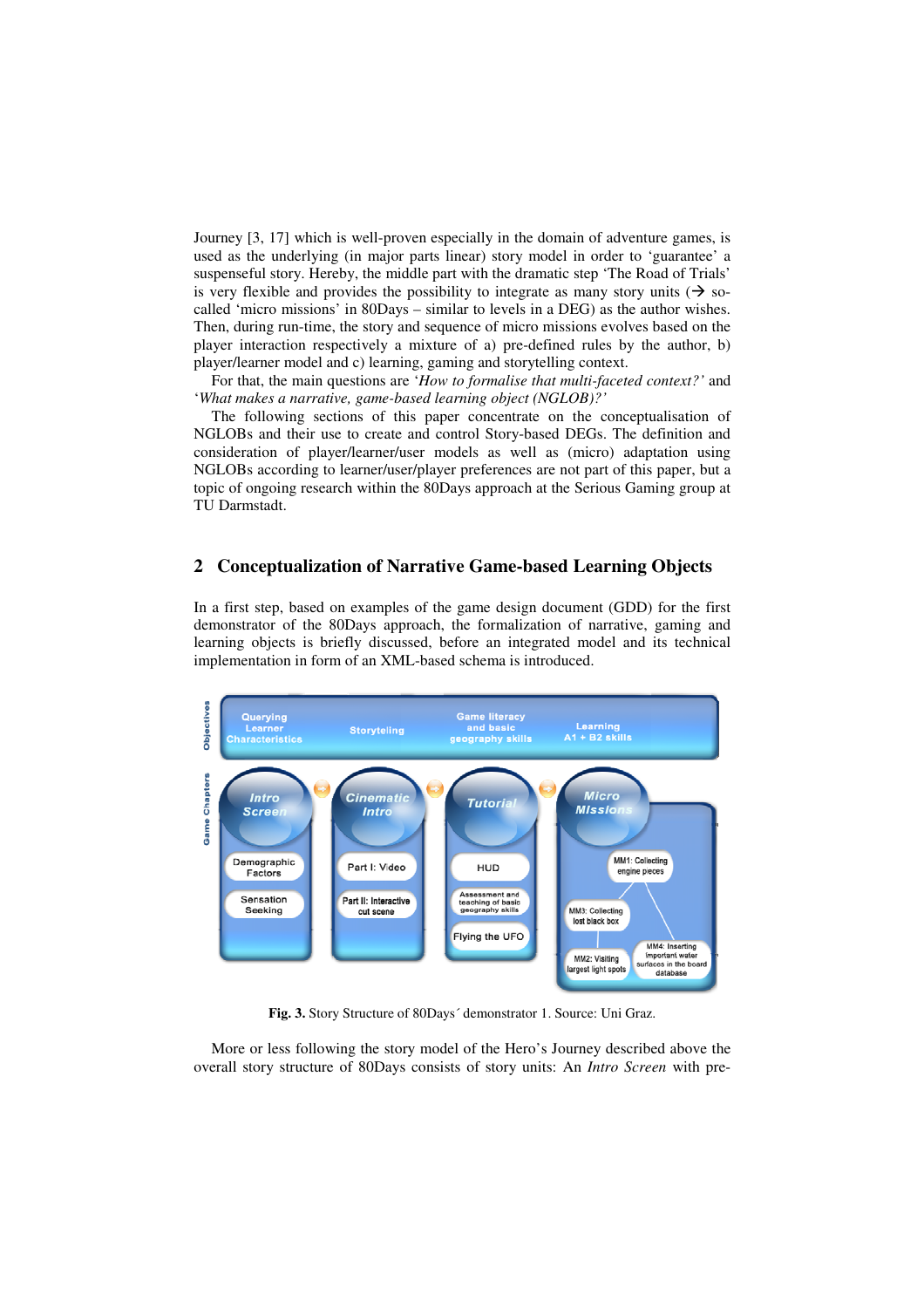Journey [3, 17] which is well-proven especially in the domain of adventure games, is used as the underlying (in major parts linear) story model in order to 'guarantee' a suspenseful story. Hereby, the middle part with the dramatic step 'The Road of Trials' is very flexible and provides the possibility to integrate as many story units ( $\rightarrow$  socalled 'micro missions' in 80Days – similar to levels in a DEG) as the author wishes. Then, during run-time, the story and sequence of micro missions evolves based on the player interaction respectively a mixture of a) pre-defined rules by the author, b) player/learner model and c) learning, gaming and storytelling context.

For that, the main questions are '*How to formalise that multi-faceted context?'* and '*What makes a narrative, game-based learning object (NGLOB)?'*

The following sections of this paper concentrate on the conceptualisation of NGLOBs and their use to create and control Story-based DEGs. The definition and consideration of player/learner/user models as well as (micro) adaptation using NGLOBs according to learner/user/player preferences are not part of this paper, but a topic of ongoing research within the 80Days approach at the Serious Gaming group at TU Darmstadt.

## **2 Conceptualization of Narrative Game-based Learning Objects**

In a first step, based on examples of the game design document (GDD) for the first demonstrator of the 80Days approach, the formalization of narrative, gaming and learning objects is briefly discussed, before an integrated model and its technical implementation in form of an XML-based schema is introduced.



**Fig. 3.** Story Structure of 80Days´ demonstrator 1. Source: Uni Graz.

More or less following the story model of the Hero's Journey described above the overall story structure of 80Days consists of story units: An *Intro Screen* with pre-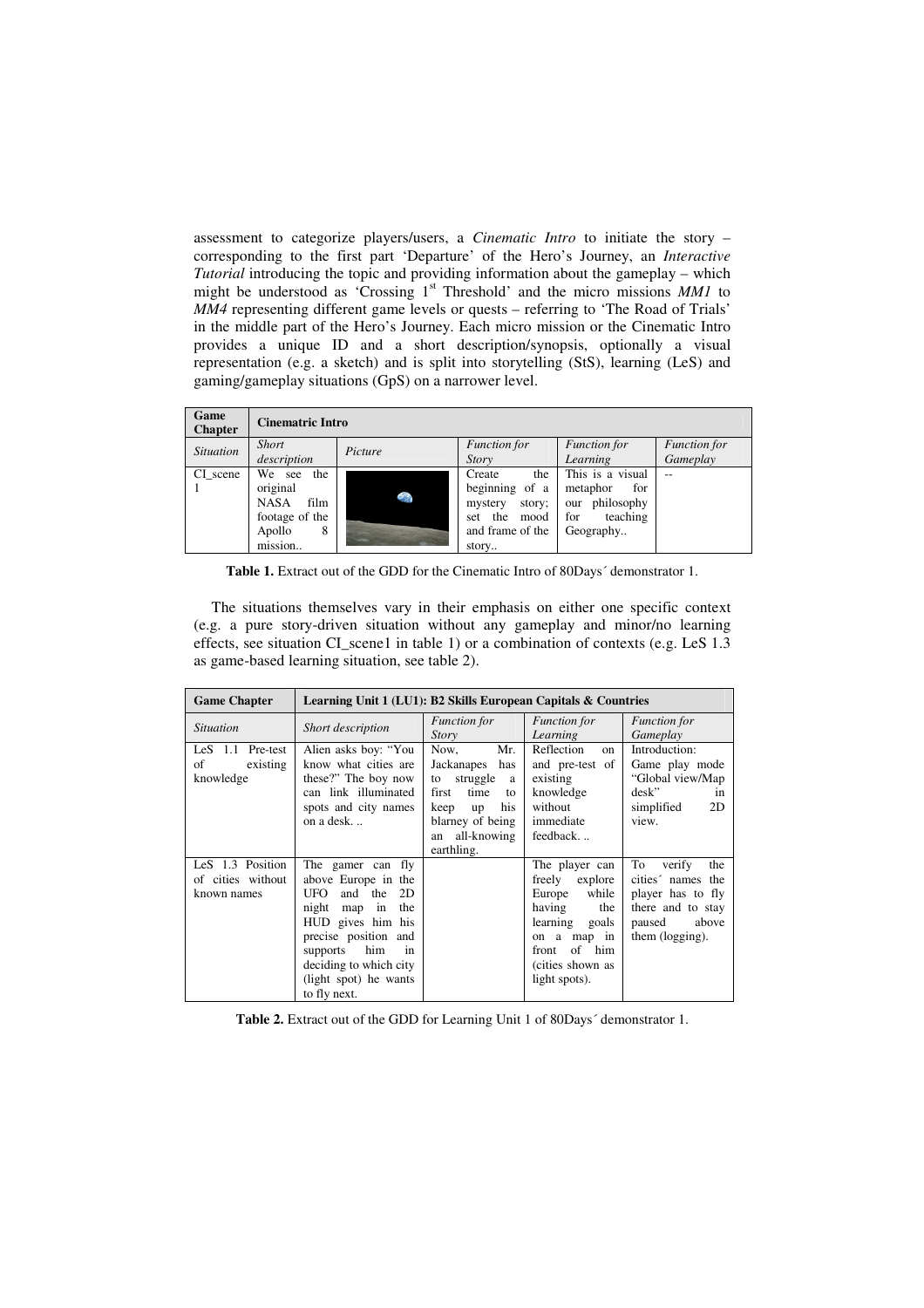assessment to categorize players/users, a *Cinematic Intro* to initiate the story – corresponding to the first part 'Departure' of the Hero's Journey, an *Interactive Tutorial* introducing the topic and providing information about the gameplay – which might be understood as 'Crossing 1<sup>st</sup> Threshold' and the micro missions *MM1* to *MM4* representing different game levels or quests – referring to 'The Road of Trials' in the middle part of the Hero's Journey. Each micro mission or the Cinematic Intro provides a unique ID and a short description/synopsis, optionally a visual representation (e.g. a sketch) and is split into storytelling (StS), learning (LeS) and gaming/gameplay situations (GpS) on a narrower level.

| Game<br><b>Chapter</b> | <b>Cinematric Intro</b> |               |                     |                     |                     |  |
|------------------------|-------------------------|---------------|---------------------|---------------------|---------------------|--|
| <b>Situation</b>       | <b>Short</b>            | Picture       | <b>Function</b> for | <b>Function</b> for | <b>Function</b> for |  |
|                        | description             |               | Story               | Learning            | Gameplay            |  |
| CI scene               | We see<br>the           |               | the<br>Create       | This is a visual    |                     |  |
|                        | original                |               | beginning of a      | metaphor<br>for     |                     |  |
|                        | film<br><b>NASA</b>     | $-50$         | mystery<br>story;   | our philosophy      |                     |  |
|                        | footage of the          |               | the<br>mood<br>set  | for<br>teaching     |                     |  |
|                        | Apollo<br>8             | <b>Marian</b> | and frame of the    | Geography           |                     |  |
|                        | mission                 |               | story               |                     |                     |  |

Table 1. Extract out of the GDD for the Cinematic Intro of 80Days' demonstrator 1.

The situations themselves vary in their emphasis on either one specific context (e.g. a pure story-driven situation without any gameplay and minor/no learning effects, see situation CI scene1 in table 1) or a combination of contexts (e.g. LeS  $1.3$ as game-based learning situation, see table 2).

| <b>Game Chapter</b>                                  | Learning Unit 1 (LU1): B2 Skills European Capitals & Countries                                                                                                                                                                         |                                                                                                                                                                  |                                                                                                                                                                     |                                                                                                                          |  |  |
|------------------------------------------------------|----------------------------------------------------------------------------------------------------------------------------------------------------------------------------------------------------------------------------------------|------------------------------------------------------------------------------------------------------------------------------------------------------------------|---------------------------------------------------------------------------------------------------------------------------------------------------------------------|--------------------------------------------------------------------------------------------------------------------------|--|--|
| Situation                                            | Short description                                                                                                                                                                                                                      | <b>Function</b> for                                                                                                                                              | <b>Function</b> for                                                                                                                                                 | <b>Function</b> for                                                                                                      |  |  |
| Pre-test<br>$LeS$ 1.1<br>existing<br>of<br>knowledge | Alien asks boy: "You<br>know what cities are<br>these?" The boy now<br>can link illuminated<br>spots and city names<br>on a desk                                                                                                       | Story<br>Now.<br>Mr.<br>Jackanapes<br>has<br>to struggle<br>a<br>time<br>first<br>to<br>his<br>keep<br>up<br>blarney of being<br>all-knowing<br>an<br>earthling. | Learning<br>Reflection<br>$_{\rm on}$<br>and pre-test of<br>existing<br>knowledge<br>without<br>immediate<br>feedback                                               | Gameplay<br>Introduction:<br>Game play mode<br>"Global view/Map<br>$\text{ desk}$ "<br>in<br>simplified<br>2D<br>view.   |  |  |
| LeS 1.3 Position<br>of cities without<br>known names | The gamer can fly<br>above Europe in the<br>UFO<br>2D<br>and the<br>night<br>in<br>the<br>map<br>HUD gives him his<br>precise position and<br>him<br>in<br>supports<br>deciding to which city<br>(light spot) he wants<br>to fly next. |                                                                                                                                                                  | The player can<br>freely<br>explore<br>while<br>Europe<br>having<br>the<br>learning<br>goals<br>on a map in<br>of him<br>front<br>(cities shown as<br>light spots). | To<br>verify<br>the<br>cities' names the<br>player has to fly<br>there and to stay<br>paused<br>above<br>them (logging). |  |  |

Table 2. Extract out of the GDD for Learning Unit 1 of 80Days' demonstrator 1.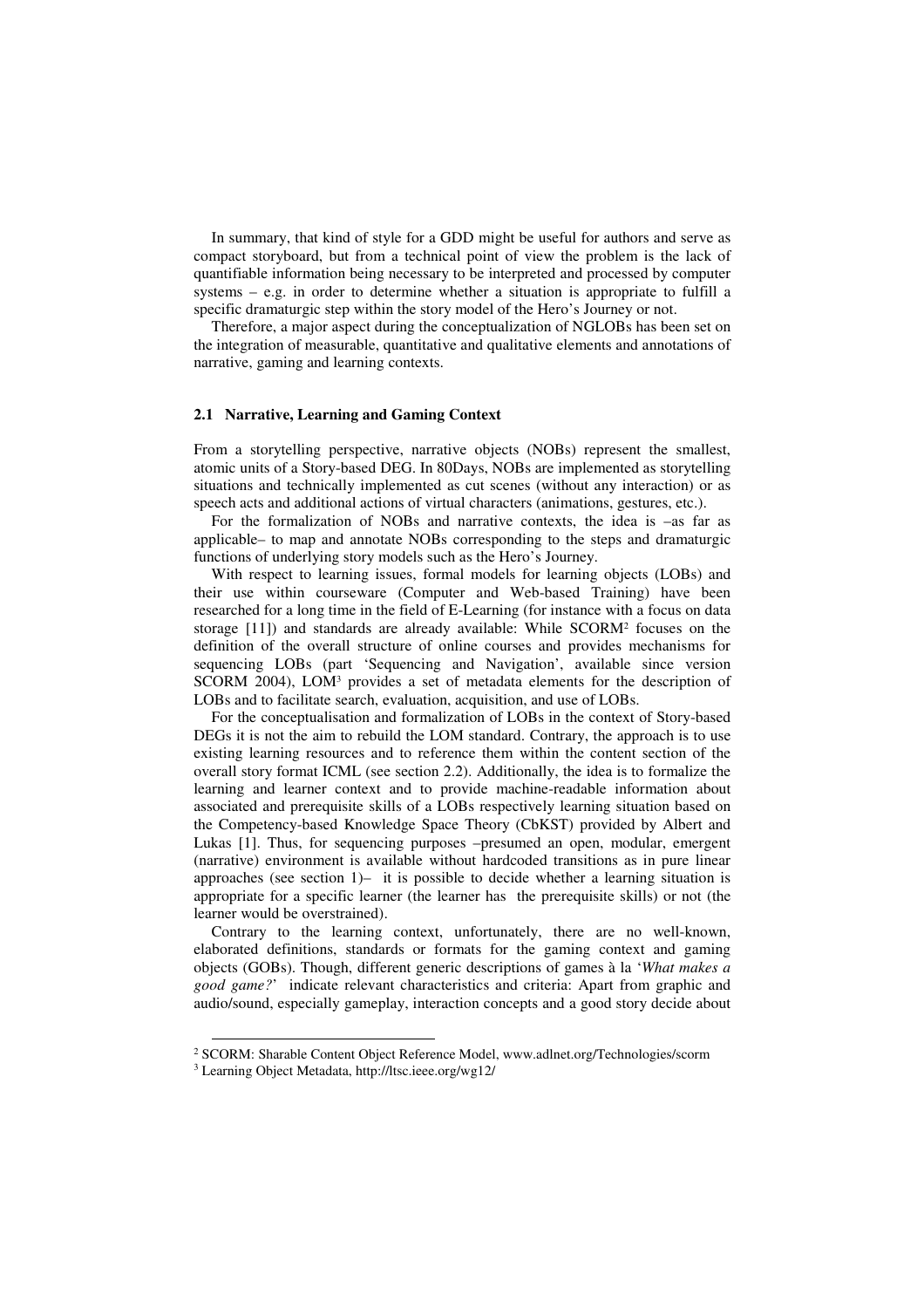In summary, that kind of style for a GDD might be useful for authors and serve as compact storyboard, but from a technical point of view the problem is the lack of quantifiable information being necessary to be interpreted and processed by computer systems – e.g. in order to determine whether a situation is appropriate to fulfill a specific dramaturgic step within the story model of the Hero's Journey or not.

Therefore, a major aspect during the conceptualization of NGLOBs has been set on the integration of measurable, quantitative and qualitative elements and annotations of narrative, gaming and learning contexts.

## **2.1 Narrative, Learning and Gaming Context**

From a storytelling perspective, narrative objects (NOBs) represent the smallest, atomic units of a Story-based DEG. In 80Days, NOBs are implemented as storytelling situations and technically implemented as cut scenes (without any interaction) or as speech acts and additional actions of virtual characters (animations, gestures, etc.).

For the formalization of NOBs and narrative contexts, the idea is –as far as applicable– to map and annotate NOBs corresponding to the steps and dramaturgic functions of underlying story models such as the Hero's Journey.

With respect to learning issues, formal models for learning objects (LOBs) and their use within courseware (Computer and Web-based Training) have been researched for a long time in the field of E-Learning (for instance with a focus on data storage [11]) and standards are already available: While SCORM<sup>2</sup> focuses on the definition of the overall structure of online courses and provides mechanisms for sequencing LOBs (part 'Sequencing and Navigation', available since version SCORM 2004), LOM<sup>3</sup> provides a set of metadata elements for the description of LOBs and to facilitate search, evaluation, acquisition, and use of LOBs.

For the conceptualisation and formalization of LOBs in the context of Story-based DEGs it is not the aim to rebuild the LOM standard. Contrary, the approach is to use existing learning resources and to reference them within the content section of the overall story format ICML (see section 2.2). Additionally, the idea is to formalize the learning and learner context and to provide machine-readable information about associated and prerequisite skills of a LOBs respectively learning situation based on the Competency-based Knowledge Space Theory (CbKST) provided by Albert and Lukas [1]. Thus, for sequencing purposes –presumed an open, modular, emergent (narrative) environment is available without hardcoded transitions as in pure linear approaches (see section 1)– it is possible to decide whether a learning situation is appropriate for a specific learner (the learner has the prerequisite skills) or not (the learner would be overstrained).

Contrary to the learning context, unfortunately, there are no well-known, elaborated definitions, standards or formats for the gaming context and gaming objects (GOBs). Though, different generic descriptions of games à la '*What makes a good game?*' indicate relevant characteristics and criteria: Apart from graphic and audio/sound, especially gameplay, interaction concepts and a good story decide about

 $\overline{a}$ 

<sup>2</sup> SCORM: Sharable Content Object Reference Model, www.adlnet.org/Technologies/scorm

<sup>3</sup> Learning Object Metadata, http://ltsc.ieee.org/wg12/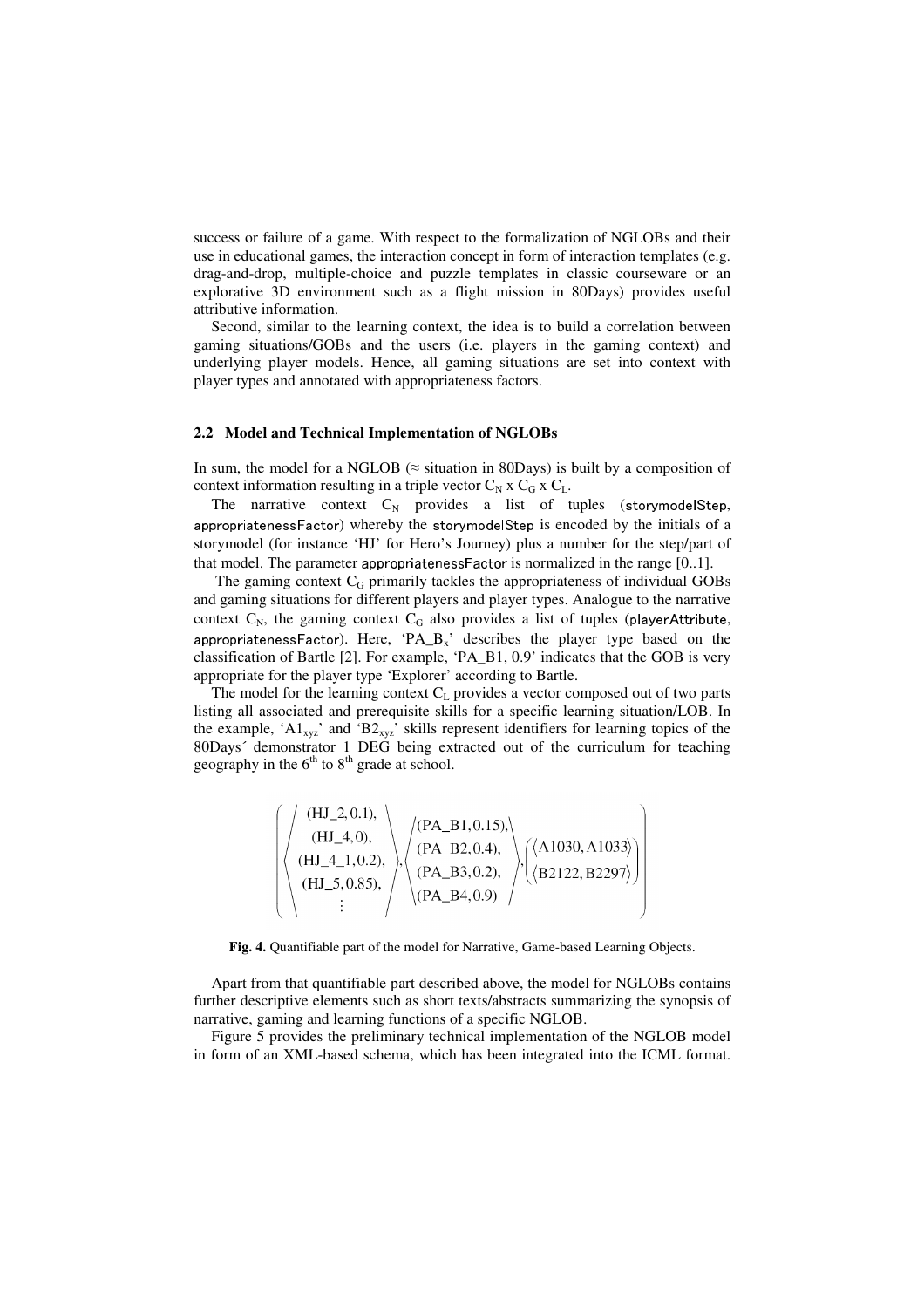success or failure of a game. With respect to the formalization of NGLOBs and their use in educational games, the interaction concept in form of interaction templates (e.g. drag-and-drop, multiple-choice and puzzle templates in classic courseware or an explorative 3D environment such as a flight mission in 80Days) provides useful attributive information.

Second, similar to the learning context, the idea is to build a correlation between gaming situations/GOBs and the users (i.e. players in the gaming context) and underlying player models. Hence, all gaming situations are set into context with player types and annotated with appropriateness factors.

#### **2.2 Model and Technical Implementation of NGLOBs**

In sum, the model for a NGLOB ( $\approx$  situation in 80Days) is built by a composition of context information resulting in a triple vector  $C_N$  x  $C_G$  x  $C_L$ .

The narrative context  $C_N$  provides a list of tuples (storymodelStep, appropriatenessFactor) whereby the storymodelStep is encoded by the initials of a storymodel (for instance 'HJ' for Hero's Journey) plus a number for the step/part of that model. The parameter appropriatenessFactor is normalized in the range [0..1].

The gaming context  $C_G$  primarily tackles the appropriateness of individual GOBs and gaming situations for different players and player types. Analogue to the narrative context  $C_N$ , the gaming context  $C_G$  also provides a list of tuples (playerAttribute, appropriatenessFactor). Here, 'PA\_B<sub>x</sub>' describes the player type based on the classification of Bartle  $[2]$ . For example, 'PA  $B1$ , 0.9' indicates that the GOB is very appropriate for the player type 'Explorer' according to Bartle.

The model for the learning context  $C_L$  provides a vector composed out of two parts listing all associated and prerequisite skills for a specific learning situation/LOB. In the example, ' $A1_{xyz}$ ' and ' $B2_{xyz}$ ' skills represent identifiers for learning topics of the 80Days´ demonstrator 1 DEG being extracted out of the curriculum for teaching geography in the  $6<sup>th</sup>$  to  $8<sup>th</sup>$  grade at school.

$$
\left(\begin{array}{c}\n(HJ_2, 0.1), \\
(HJ_4, 0), \\
(HJ_4-1, 0.2), \\
(HJ_5, 0.85), \\
\vdots\n\end{array}\right), \left(\begin{array}{c}\n(PA_B1, 0.15), \\
(PA_B2, 0.4), \\
(PA_B3, 0.2), \\
(PA_B4, 0.9)\n\end{array}\right), \left(\begin{array}{c}\n\langle A1030, A1033 \rangle \\
\langle B2122, B2297 \rangle\n\end{array}\right)
$$

**Fig. 4.** Quantifiable part of the model for Narrative, Game-based Learning Objects.

Apart from that quantifiable part described above, the model for NGLOBs contains further descriptive elements such as short texts/abstracts summarizing the synopsis of narrative, gaming and learning functions of a specific NGLOB.

Figure 5 provides the preliminary technical implementation of the NGLOB model in form of an XML-based schema, which has been integrated into the ICML format.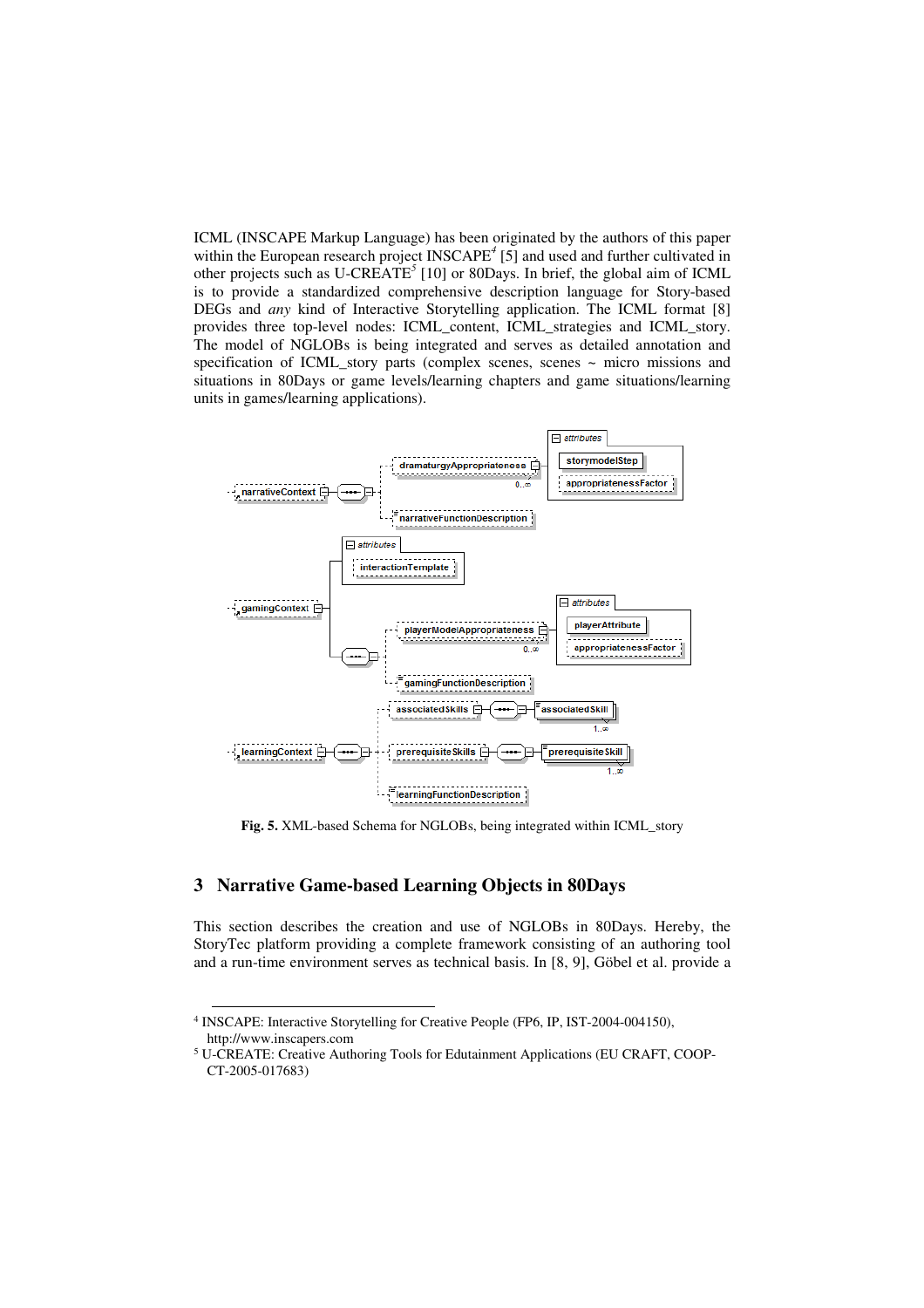ICML (INSCAPE Markup Language) has been originated by the authors of this paper within the European research project INSCAPE*<sup>4</sup>* [5] and used and further cultivated in other projects such as U-CREATE*<sup>5</sup>* [10] or 80Days. In brief, the global aim of ICML is to provide a standardized comprehensive description language for Story-based DEGs and *any* kind of Interactive Storytelling application. The ICML format [8] provides three top-level nodes: ICML\_content, ICML\_strategies and ICML\_story. The model of NGLOBs is being integrated and serves as detailed annotation and specification of ICML\_story parts (complex scenes, scenes ~ micro missions and situations in 80Days or game levels/learning chapters and game situations/learning units in games/learning applications).



**Fig. 5.** XML-based Schema for NGLOBs, being integrated within ICML\_story

# **3 Narrative Game-based Learning Objects in 80Days**

 $\overline{a}$ 

This section describes the creation and use of NGLOBs in 80Days. Hereby, the StoryTec platform providing a complete framework consisting of an authoring tool and a run-time environment serves as technical basis. In [8, 9], Göbel et al. provide a

<sup>4</sup> INSCAPE: Interactive Storytelling for Creative People (FP6, IP, IST-2004-004150), http://www.inscapers.com

<sup>&</sup>lt;sup>5</sup> U-CREATE: Creative Authoring Tools for Edutainment Applications (EU CRAFT, COOP-CT-2005-017683)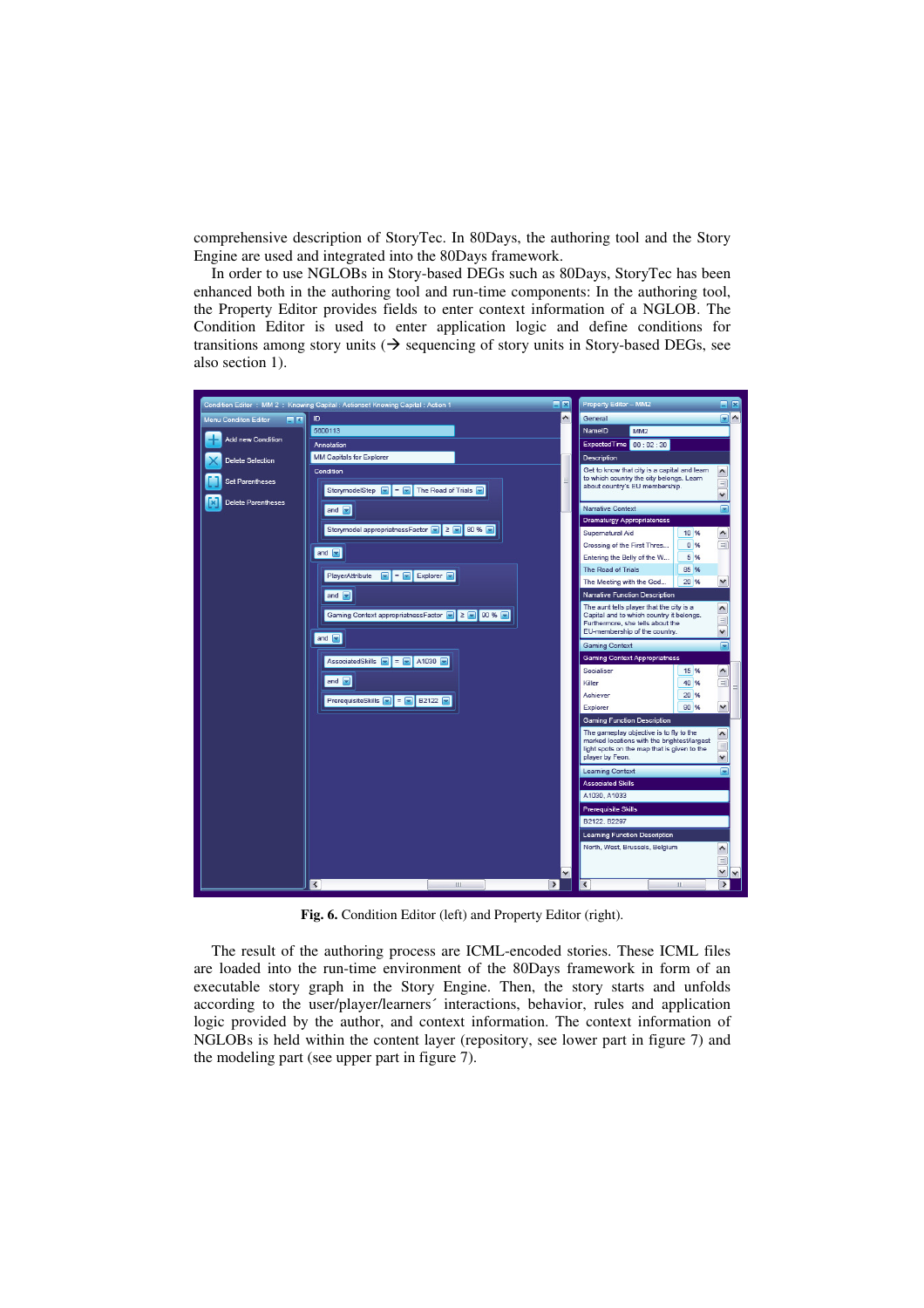comprehensive description of StoryTec. In 80Days, the authoring tool and the Story Engine are used and integrated into the 80Days framework.

In order to use NGLOBs in Story-based DEGs such as 80Days, StoryTec has been enhanced both in the authoring tool and run-time components: In the authoring tool, the Property Editor provides fields to enter context information of a NGLOB. The Condition Editor is used to enter application logic and define conditions for transitions among story units  $\leftrightarrow$  sequencing of story units in Story-based DEGs, see also section 1).



Fig. 6. Condition Editor (left) and Property Editor (right).

The result of the authoring process are ICML-encoded stories. These ICML files are loaded into the run-time environment of the 80Days framework in form of an executable story graph in the Story Engine. Then, the story starts and unfolds according to the user/player/learners´ interactions, behavior, rules and application logic provided by the author, and context information. The context information of NGLOBs is held within the content layer (repository, see lower part in figure 7) and the modeling part (see upper part in figure 7).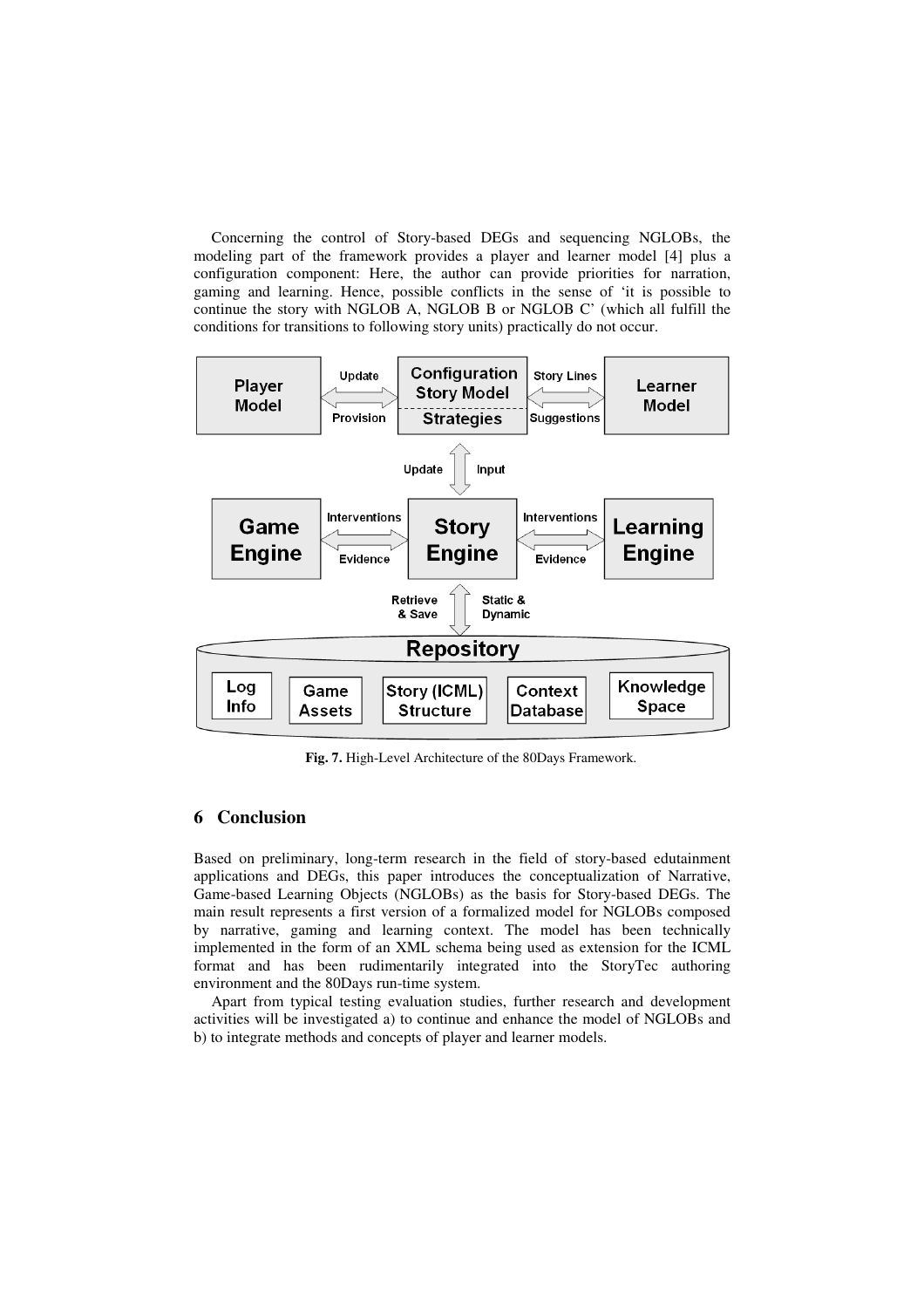Concerning the control of Story-based DEGs and sequencing NGLOBs, the modeling part of the framework provides a player and learner model [4] plus a configuration component: Here, the author can provide priorities for narration, gaming and learning. Hence, possible conflicts in the sense of 'it is possible to continue the story with NGLOB A, NGLOB B or NGLOB C' (which all fulfill the conditions for transitions to following story units) practically do not occur.



**Fig. 7.** High-Level Architecture of the 80Days Framework.

# **6 Conclusion**

Based on preliminary, long-term research in the field of story-based edutainment applications and DEGs, this paper introduces the conceptualization of Narrative, Game-based Learning Objects (NGLOBs) as the basis for Story-based DEGs. The main result represents a first version of a formalized model for NGLOBs composed by narrative, gaming and learning context. The model has been technically implemented in the form of an XML schema being used as extension for the ICML format and has been rudimentarily integrated into the StoryTec authoring environment and the 80Days run-time system.

Apart from typical testing evaluation studies, further research and development activities will be investigated a) to continue and enhance the model of NGLOBs and b) to integrate methods and concepts of player and learner models.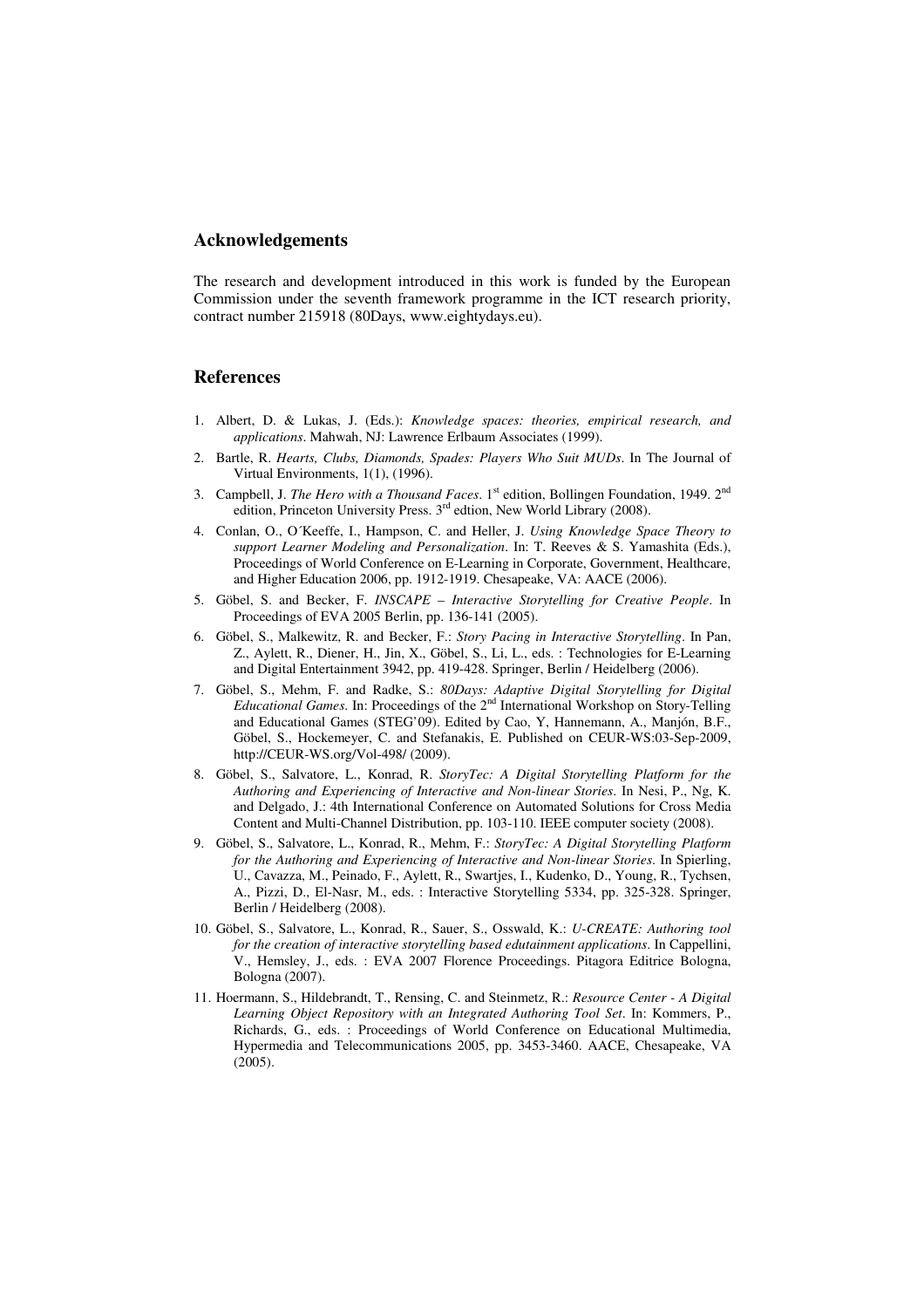## **Acknowledgements**

The research and development introduced in this work is funded by the European Commission under the seventh framework programme in the ICT research priority, contract number 215918 (80Days, www.eightydays.eu).

## **References**

- 1. Albert, D. & Lukas, J. (Eds.): *Knowledge spaces: theories, empirical research, and applications*. Mahwah, NJ: Lawrence Erlbaum Associates (1999).
- 2. Bartle, R. *Hearts, Clubs, Diamonds, Spades: Players Who Suit MUDs*. In The Journal of Virtual Environments, 1(1), (1996).
- 3. Campbell, J. *The Hero with a Thousand Faces*. 1st edition, Bollingen Foundation, 1949. 2nd edition, Princeton University Press. 3<sup>rd</sup> edtion, New World Library (2008).
- 4. Conlan, O., O´Keeffe, I., Hampson, C. and Heller, J. *Using Knowledge Space Theory to support Learner Modeling and Personalization*. In: T. Reeves & S. Yamashita (Eds.), Proceedings of World Conference on E-Learning in Corporate, Government, Healthcare, and Higher Education 2006, pp. 1912-1919. Chesapeake, VA: AACE (2006).
- 5. Göbel, S. and Becker, F. *INSCAPE Interactive Storytelling for Creative People*. In Proceedings of EVA 2005 Berlin, pp. 136-141 (2005).
- 6. Göbel, S., Malkewitz, R. and Becker, F.: *Story Pacing in Interactive Storytelling*. In Pan, Z., Aylett, R., Diener, H., Jin, X., Göbel, S., Li, L., eds. : Technologies for E-Learning and Digital Entertainment 3942, pp. 419-428. Springer, Berlin / Heidelberg (2006).
- 7. Göbel, S., Mehm, F. and Radke, S.: *80Days: Adaptive Digital Storytelling for Digital Educational Games*. In: Proceedings of the 2<sup>nd</sup> International Workshop on Story-Telling and Educational Games (STEG'09). Edited by Cao, Y, Hannemann, A., Manjón, B.F., Göbel, S., Hockemeyer, C. and Stefanakis, E. Published on CEUR-WS:03-Sep-2009, http://CEUR-WS.org/Vol-498/ (2009).
- 8. Göbel, S., Salvatore, L., Konrad, R. *StoryTec: A Digital Storytelling Platform for the Authoring and Experiencing of Interactive and Non-linear Stories*. In Nesi, P., Ng, K. and Delgado, J.: 4th International Conference on Automated Solutions for Cross Media Content and Multi-Channel Distribution, pp. 103-110. IEEE computer society (2008).
- 9. Göbel, S., Salvatore, L., Konrad, R., Mehm, F.: *StoryTec: A Digital Storytelling Platform for the Authoring and Experiencing of Interactive and Non-linear Stories*. In Spierling, U., Cavazza, M., Peinado, F., Aylett, R., Swartjes, I., Kudenko, D., Young, R., Tychsen, A., Pizzi, D., El-Nasr, M., eds. : Interactive Storytelling 5334, pp. 325-328. Springer, Berlin / Heidelberg (2008).
- 10. Göbel, S., Salvatore, L., Konrad, R., Sauer, S., Osswald, K.: *U-CREATE: Authoring tool for the creation of interactive storytelling based edutainment applications*. In Cappellini, V., Hemsley, J., eds. : EVA 2007 Florence Proceedings. Pitagora Editrice Bologna, Bologna (2007).
- 11. Hoermann, S., Hildebrandt, T., Rensing, C. and Steinmetz, R.: *Resource Center A Digital Learning Object Repository with an Integrated Authoring Tool Set*. In: Kommers, P., Richards, G., eds. : Proceedings of World Conference on Educational Multimedia, Hypermedia and Telecommunications 2005, pp. 3453-3460. AACE, Chesapeake, VA (2005).